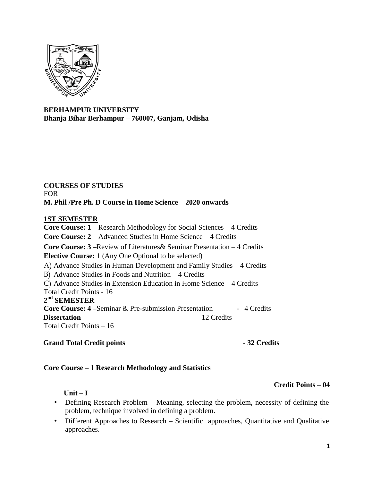

**BERHAMPUR UNIVERSITY Bhanja Bihar Berhampur – 760007, Ganjam, Odisha** 

## **COURSES OF STUDIES**  FOR **M. Phil /Pre Ph. D Course in Home Science – 2020 onwards**

# **1ST SEMESTER**

**Core Course: 1** – Research Methodology for Social Sciences – 4 Credits **Core Course: 2** – Advanced Studies in Home Science – 4 Credits **Core Course: 3 –**Review of Literatures& Seminar Presentation – 4 Credits **Elective Course:** 1 (Any One Optional to be selected) A) Advance Studies in Human Development and Family Studies – 4 Credits B) Advance Studies in Foods and Nutrition – 4 Credits C) Advance Studies in Extension Education in Home Science – 4 Credits Total Credit Points - 16 **2 nd SEMESTER Core Course: 4** – Seminar & Pre-submission Presentation - 4 Credits **Dissertation** –12 Credits Total Credit Points – 16

## **Grand Total Credit points - 32 Credits**

## **Core Course – 1 Research Methodology and Statistics**

#### **Credit Points – 04**

#### **Unit – I**

- Defining Research Problem Meaning, selecting the problem, necessity of defining the problem, technique involved in defining a problem.
- Different Approaches to Research Scientific approaches, Quantitative and Qualitative approaches.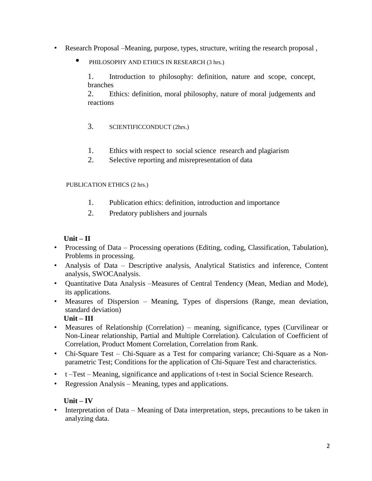- Research Proposal –Meaning, purpose, types, structure, writing the research proposal ,
	- PHILOSOPHY AND ETHICS IN RESEARCH (3 hrs.)

1. Introduction to philosophy: definition, nature and scope, concept, branches

2. Ethics: definition, moral philosophy, nature of moral judgements and reactions

- 3. SCIENTIFICCONDUCT (2hrs.)
- 1. Ethics with respect to social science research and plagiarism
- 2. Selective reporting and misrepresentation of data

#### PUBLICATION ETHICS (2 hrs.)

- 1. Publication ethics: definition, introduction and importance
- 2. Predatory publishers and journals

# **Unit – II**

- Processing of Data Processing operations (Editing, coding, Classification, Tabulation), Problems in processing.
- Analysis of Data Descriptive analysis, Analytical Statistics and inference, Content analysis, SWOCAnalysis.
- Quantitative Data Analysis –Measures of Central Tendency (Mean, Median and Mode), its applications.
- Measures of Dispersion Meaning, Types of dispersions (Range, mean deviation, standard deviation) **Unit – III**
- Measures of Relationship (Correlation) meaning, significance, types (Curvilinear or Non-Linear relationship, Partial and Multiple Correlation). Calculation of Coefficient of Correlation, Product Moment Correlation, Correlation from Rank.
- Chi-Square Test Chi-Square as a Test for comparing variance; Chi-Square as a Nonparametric Test; Conditions for the application of Chi-Square Test and characteristics.
- t –Test Meaning, significance and applications of t-test in Social Science Research.
- Regression Analysis Meaning, types and applications.

## **Unit – IV**

Interpretation of Data – Meaning of Data interpretation, steps, precautions to be taken in analyzing data.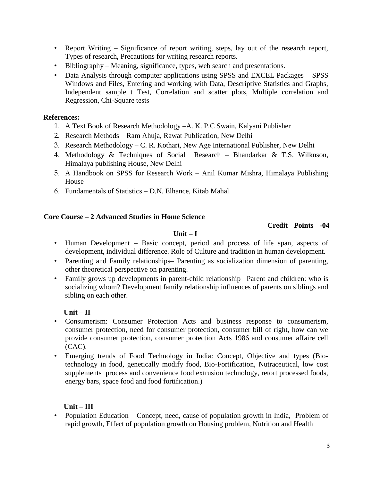- Report Writing Significance of report writing, steps, lay out of the research report, Types of research, Precautions for writing research reports.
- Bibliography Meaning, significance, types, web search and presentations.
- Data Analysis through computer applications using SPSS and EXCEL Packages SPSS Windows and Files, Entering and working with Data, Descriptive Statistics and Graphs, Independent sample t Test, Correlation and scatter plots, Multiple correlation and Regression, Chi-Square tests

## **References:**

- 1. A Text Book of Research Methodology –A. K. P.C Swain, Kalyani Publisher
- 2. Research Methods Ram Ahuja, Rawat Publication, New Delhi
- 3. Research Methodology C. R. Kothari, New Age International Publisher, New Delhi
- 4. Methodology & Techniques of Social Research Bhandarkar & T.S. Wilknson, Himalaya publishing House, New Delhi
- 5. A Handbook on SPSS for Research Work Anil Kumar Mishra, Himalaya Publishing House
- 6. Fundamentals of Statistics D.N. Elhance, Kitab Mahal.

#### **Core Course – 2 Advanced Studies in Home Science**

#### **Credit Points -04**

#### **Unit – I**

- Human Development Basic concept, period and process of life span, aspects of development, individual difference. Role of Culture and tradition in human development.
- Parenting and Family relationships– Parenting as socialization dimension of parenting, other theoretical perspective on parenting.
- Family grows up developments in parent-child relationship –Parent and children: who is socializing whom? Development family relationship influences of parents on siblings and sibling on each other.

## **Unit – II**

- Consumerism: Consumer Protection Acts and business response to consumerism, consumer protection, need for consumer protection, consumer bill of right, how can we provide consumer protection, consumer protection Acts 1986 and consumer affaire cell (CAC).
- Emerging trends of Food Technology in India: Concept, Objective and types (Biotechnology in food, genetically modify food, Bio-Fortification, Nutraceutical, low cost supplements process and convenience food extrusion technology, retort processed foods, energy bars, space food and food fortification.)

## **Unit – III**

• Population Education – Concept, need, cause of population growth in India, Problem of rapid growth, Effect of population growth on Housing problem, Nutrition and Health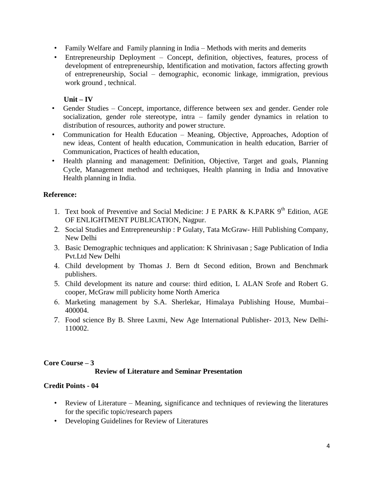- Family Welfare and Family planning in India Methods with merits and demerits
- Entrepreneurship Deployment Concept, definition, objectives, features, process of development of entrepreneurship, Identification and motivation, factors affecting growth of entrepreneurship, Social – demographic, economic linkage, immigration, previous work ground , technical.

# **Unit – IV**

- Gender Studies Concept, importance, difference between sex and gender. Gender role socialization, gender role stereotype, intra – family gender dynamics in relation to distribution of resources, authority and power structure.
- Communication for Health Education Meaning, Objective, Approaches, Adoption of new ideas, Content of health education, Communication in health education, Barrier of Communication, Practices of health education,
- Health planning and management: Definition, Objective, Target and goals, Planning Cycle, Management method and techniques, Health planning in India and Innovative Health planning in India.

## **Reference:**

- 1. Text book of Preventive and Social Medicine: J E PARK & K.PARK  $9<sup>th</sup>$  Edition, AGE OF ENLIGHTMENT PUBLICATION, Nagpur.
- 2. Social Studies and Entrepreneurship : P Gulaty, Tata McGraw- Hill Publishing Company, New Delhi
- 3. Basic Demographic techniques and application: K Shrinivasan ; Sage Publication of India Pvt.Ltd New Delhi
- 4. Child development by Thomas J. Bern dt Second edition, Brown and Benchmark publishers.
- 5. Child development its nature and course: third edition, L ALAN Srofe and Robert G. cooper, McGraw mill publicity home North America
- 6. Marketing management by S.A. Sherlekar, Himalaya Publishing House, Mumbai– 400004.
- 7. Food science By B. Shree Laxmi, New Age International Publisher- 2013, New Delhi-110002.

## **Core Course – 3**

## **Review of Literature and Seminar Presentation**

## **Credit Points - 04**

- Review of Literature Meaning, significance and techniques of reviewing the literatures for the specific topic/research papers
- Developing Guidelines for Review of Literatures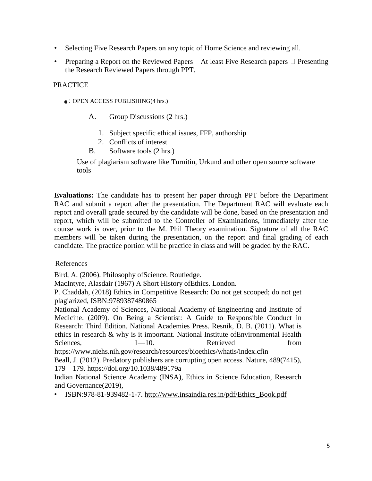- Selecting Five Research Papers on any topic of Home Science and reviewing all.
- Preparing a Report on the Reviewed Papers At least Five Research papers  $\Box$  Presenting the Research Reviewed Papers through PPT.

## **PRACTICE**

- : OPEN ACCESS PUBLISHING(4 hrs.)
	- A. Group Discussions (2 hrs.)
		- 1. Subject specific ethical issues, FFP, authorship
		- 2. Conflicts of interest
	- B. Software tools (2 hrs.)

Use of plagiarism software like Turnitin, Urkund and other open source software tools

**Evaluations:** The candidate has to present her paper through PPT before the Department RAC and submit a report after the presentation. The Department RAC will evaluate each report and overall grade secured by the candidate will be done, based on the presentation and report, which will be submitted to the Controller of Examinations, immediately after the course work is over, prior to the M. Phil Theory examination. Signature of all the RAC members will be taken during the presentation, on the report and final grading of each candidate. The practice portion will be practice in class and will be graded by the RAC.

## References

Bird, A. (2006). Philosophy ofScience. Routledge.

MacIntyre, Alasdair (1967) A Short History ofEthics. London.

P. Chaddah, (2018) Ethics in Competitive Research: Do not get scooped; do not get plagiarized, ISBN:9789387480865

National Academy of Sciences, National Academy of Engineering and Institute of Medicine. (2009). On Being a Scientist: A Guide to Responsible Conduct in Research: Third Edition. National Academies Press. Resnik, D. B. (2011). What is ethics in research & why is it important. National Institute ofEnvironmental Health Sciences, 1—10. Retrieved from https://www.niehs.nih.gov/research/resources/bioethics/whatis/index.cfin

Beall, J. (2012). Predatory publishers are corrupting open access. Nature, 489(7415),

179—179. https://doi.org/10.1038/489179a

Indian National Science Academy (INSA), Ethics in Science Education, Research and Governance(2019),

• ISBN:978-81-939482-1-7. http://www.insaindia.res.in/pdf/Ethics\_Book.pdf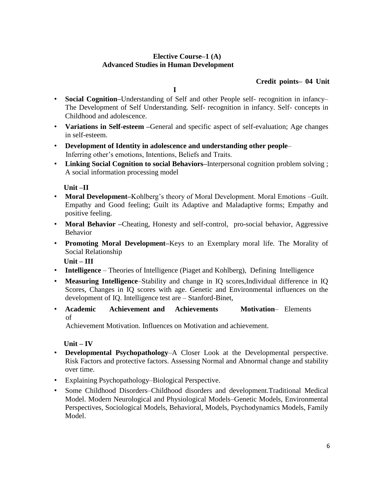## **Elective Course–1 (A) Advanced Studies in Human Development**

### **Credit points– 04 Unit**

**I** 

- **Social Cognition–**Understanding of Self and other People self- recognition in infancy– The Development of Self Understanding. Self- recognition in infancy. Self- concepts in Childhood and adolescence.
- **Variations in Self-esteem –**General and specific aspect of self-evaluation; Age changes in self-esteem.
- **Development of Identity in adolescence and understanding other people** Inferring other's emotions, Intentions, Beliefs and Traits.
- **Linking Social Cognition to social Behaviors–**Interpersonal cognition problem solving ; A social information processing model

## **Unit –II**

- **Moral Development–**Kohlberg's theory of Moral Development. Moral Emotions –Guilt. Empathy and Good feeling; Guilt its Adaptive and Maladaptive forms; Empathy and positive feeling.
- **Moral Behavior** –Cheating, Honesty and self-control, pro-social behavior, Aggressive Behavior
- **Promoting Moral Development–**Keys to an Exemplary moral life. The Morality of Social Relationship

**Unit – III** 

- **Intelligence** Theories of Intelligence (Piaget and Kohlberg), Defining Intelligence
- **Measuring Intelligence**–Stability and change in IQ scores,Individual difference in IQ Scores, Changes in IQ scores with age. Genetic and Environmental influences on the development of IQ. Intelligence test are – Stanford-Binet,
- **Academic Achievement and Achievements Motivation** Elements of

Achievement Motivation. Influences on Motivation and achievement.

**Unit – IV** 

- **Developmental Psychopathology**–A Closer Look at the Developmental perspective. Risk Factors and protective factors. Assessing Normal and Abnormal change and stability over time.
- Explaining Psychopathology–Biological Perspective.
- Some Childhood Disorders–Childhood disorders and development.Traditional Medical Model. Modern Neurological and Physiological Models–Genetic Models, Environmental Perspectives, Sociological Models, Behavioral, Models, Psychodynamics Models, Family Model.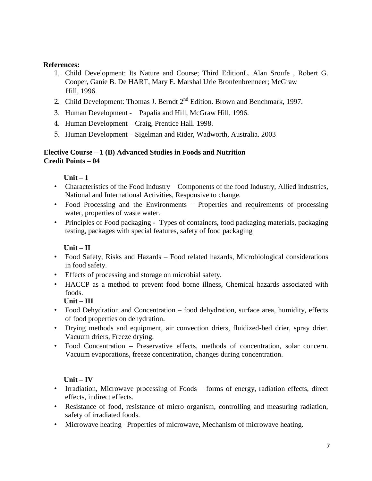### **References:**

- 1. Child Development: Its Nature and Course; Third EditionL. Alan Sroufe , Robert G. Cooper, Ganie B. De HART, Mary E. Marshal Urie Bronfenbrenneer; McGraw Hill, 1996.
- 2. Child Development: Thomas J. Berndt 2<sup>nd</sup> Edition. Brown and Benchmark, 1997.
- 3. Human Development Papalia and Hill, McGraw Hill, 1996.
- 4. Human Development Craig, Prentice Hall. 1998.
- 5. Human Development Sigelman and Rider, Wadworth, Australia. 2003

### **Elective Course – 1 (B) Advanced Studies in Foods and Nutrition Credit Points – 04**

# **Unit – 1**

- Characteristics of the Food Industry Components of the food Industry, Allied industries, National and International Activities, Responsive to change.
- Food Processing and the Environments Properties and requirements of processing water, properties of waste water.
- Principles of Food packaging Types of containers, food packaging materials, packaging testing, packages with special features, safety of food packaging

## **Unit – II**

- Food Safety, Risks and Hazards Food related hazards, Microbiological considerations in food safety.
- Effects of processing and storage on microbial safety.
- HACCP as a method to prevent food borne illness, Chemical hazards associated with foods.

## **Unit – III**

- Food Dehydration and Concentration food dehydration, surface area, humidity, effects of food properties on dehydration.
- Drying methods and equipment, air convection driers, fluidized-bed drier, spray drier. Vacuum driers, Freeze drying.
- Food Concentration Preservative effects, methods of concentration, solar concern. Vacuum evaporations, freeze concentration, changes during concentration.

## **Unit – IV**

- Irradiation, Microwave processing of Foods forms of energy, radiation effects, direct effects, indirect effects.
- Resistance of food, resistance of micro organism, controlling and measuring radiation, safety of irradiated foods.
- Microwave heating –Properties of microwave, Mechanism of microwave heating.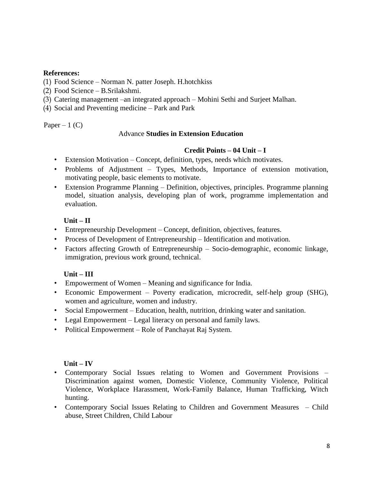#### **References:**

- (1) Food Science Norman N. patter Joseph. H.hotchkiss
- (2) Food Science B.Srilakshmi.
- (3) Catering management –an integrated approach Mohini Sethi and Surjeet Malhan.
- (4) Social and Preventing medicine Park and Park

Paper – 1  $(C)$ 

#### Advance **Studies in Extension Education**

#### **Credit Points – 04 Unit – I**

- Extension Motivation Concept, definition, types, needs which motivates.
- Problems of Adjustment Types, Methods, Importance of extension motivation, motivating people, basic elements to motivate.
- Extension Programme Planning Definition, objectives, principles. Programme planning model, situation analysis, developing plan of work, programme implementation and evaluation.

#### **Unit – II**

- Entrepreneurship Development Concept, definition, objectives, features.
- Process of Development of Entrepreneurship Identification and motivation.
- Factors affecting Growth of Entrepreneurship Socio-demographic, economic linkage, immigration, previous work ground, technical.

## **Unit – III**

- Empowerment of Women Meaning and significance for India.
- Economic Empowerment Poverty eradication, microcredit, self-help group (SHG), women and agriculture, women and industry.
- Social Empowerment Education, health, nutrition, drinking water and sanitation.
- Legal Empowerment Legal literacy on personal and family laws.
- Political Empowerment Role of Panchayat Raj System.

#### **Unit – IV**

- Contemporary Social Issues relating to Women and Government Provisions Discrimination against women, Domestic Violence, Community Violence, Political Violence, Workplace Harassment, Work-Family Balance, Human Trafficking, Witch hunting.
- Contemporary Social Issues Relating to Children and Government Measures Child abuse, Street Children, Child Labour